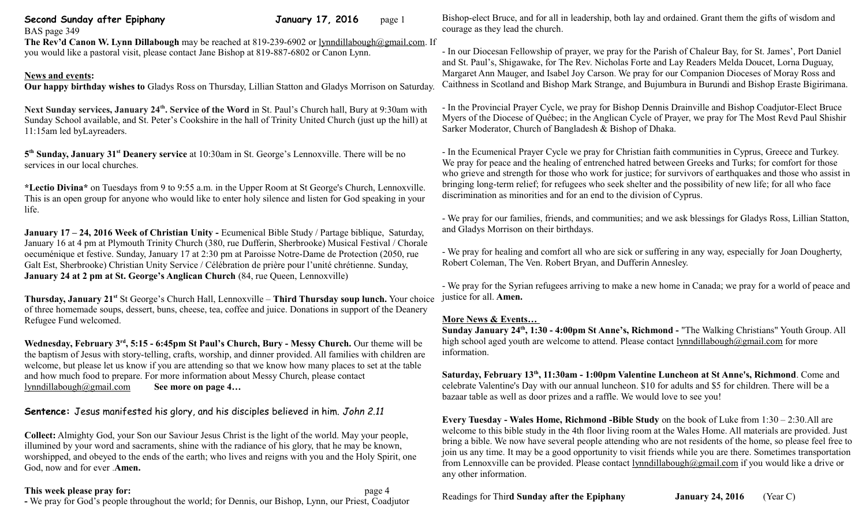| <b>January 17, 2016</b><br>Second Sunday after Epiphany<br>page 1<br>BAS page 349                                                                                                                                                                                                                                                                                                                              | Bishop-elect Bruce, and for all in leadership, both lay and ordained. Grant them the gifts of wisdom and<br>courage as they lead the church.                                                                                                                                                                                     |
|----------------------------------------------------------------------------------------------------------------------------------------------------------------------------------------------------------------------------------------------------------------------------------------------------------------------------------------------------------------------------------------------------------------|----------------------------------------------------------------------------------------------------------------------------------------------------------------------------------------------------------------------------------------------------------------------------------------------------------------------------------|
| The Rev'd Canon W. Lynn Dillabough may be reached at 819-239-6902 or lynndillabough@gmail.com. If<br>you would like a pastoral visit, please contact Jane Bishop at 819-887-6802 or Canon Lynn.                                                                                                                                                                                                                | - In our Diocesan Fellowship of prayer, we pray for the Parish of Chaleur Bay, for St. James', Port Daniel<br>and St. Paul's, Shigawake, for The Rev. Nicholas Forte and Lay Readers Melda Doucet, Lorna Duguay,<br>Margaret Ann Mauger, and Isabel Joy Carson. We pray for our Companion Dioceses of Moray Ross and             |
| <b>News and events:</b><br>Our happy birthday wishes to Gladys Ross on Thursday, Lillian Statton and Gladys Morrison on Saturday.                                                                                                                                                                                                                                                                              | Caithness in Scotland and Bishop Mark Strange, and Bujumbura in Burundi and Bishop Eraste Bigirimana.                                                                                                                                                                                                                            |
| Next Sunday services, January 24 <sup>th</sup> . Service of the Word in St. Paul's Church hall, Bury at 9:30am with<br>Sunday School available, and St. Peter's Cookshire in the hall of Trinity United Church (just up the hill) at<br>11:15am led byLayreaders.                                                                                                                                              | - In the Provincial Prayer Cycle, we pray for Bishop Dennis Drainville and Bishop Coadjutor-Elect Bruce<br>Myers of the Diocese of Québec; in the Anglican Cycle of Prayer, we pray for The Most Revd Paul Shishir<br>Sarker Moderator, Church of Bangladesh & Bishop of Dhaka.                                                  |
| 5 <sup>th</sup> Sunday, January 31 <sup>st</sup> Deanery service at 10:30am in St. George's Lennoxville. There will be no<br>services in our local churches.                                                                                                                                                                                                                                                   | - In the Ecumenical Prayer Cycle we pray for Christian faith communities in Cyprus, Greece and Turkey.<br>We pray for peace and the healing of entrenched hatred between Greeks and Turks; for comfort for those<br>who grieve and strength for those who work for justice; for survivors of earthquakes and those who assist in |
| *Lectio Divina* on Tuesdays from 9 to 9:55 a.m. in the Upper Room at St George's Church, Lennoxville.<br>This is an open group for anyone who would like to enter holy silence and listen for God speaking in your<br>life.                                                                                                                                                                                    | bringing long-term relief; for refugees who seek shelter and the possibility of new life; for all who face<br>discrimination as minorities and for an end to the division of Cyprus.                                                                                                                                             |
| January 17 - 24, 2016 Week of Christian Unity - Ecumenical Bible Study / Partage biblique, Saturday,                                                                                                                                                                                                                                                                                                           | - We pray for our families, friends, and communities; and we ask blessings for Gladys Ross, Lillian Statton,<br>and Gladys Morrison on their birthdays.                                                                                                                                                                          |
| January 16 at 4 pm at Plymouth Trinity Church (380, rue Dufferin, Sherbrooke) Musical Festival / Chorale<br>oecuménique et festive. Sunday, January 17 at 2:30 pm at Paroisse Notre-Dame de Protection (2050, rue<br>Galt Est, Sherbrooke) Christian Unity Service / Célébration de prière pour l'unité chrétienne. Sunday,<br>January 24 at 2 pm at St. George's Anglican Church (84, rue Queen, Lennoxville) | - We pray for healing and comfort all who are sick or suffering in any way, especially for Joan Dougherty,<br>Robert Coleman, The Ven. Robert Bryan, and Dufferin Annesley.                                                                                                                                                      |
| Thursday, January 21 <sup>st</sup> St George's Church Hall, Lennoxville - Third Thursday soup lunch. Your choice                                                                                                                                                                                                                                                                                               | - We pray for the Syrian refugees arriving to make a new home in Canada; we pray for a world of peace and<br>justice for all. Amen.                                                                                                                                                                                              |
| of three homemade soups, dessert, buns, cheese, tea, coffee and juice. Donations in support of the Deanery<br>Refugee Fund welcomed.                                                                                                                                                                                                                                                                           | More News & Events<br>Sunday January 24 <sup>th</sup> , 1:30 - 4:00pm St Anne's, Richmond - "The Walking Christians" Youth Group. All                                                                                                                                                                                            |
| Wednesday, February 3 <sup>rd</sup> , 5:15 - 6:45pm St Paul's Church, Bury - Messy Church. Our theme will be<br>the baptism of Jesus with story-telling, crafts, worship, and dinner provided. All families with children are                                                                                                                                                                                  | high school aged youth are welcome to attend. Please contact lynndillabough@gmail.com for more<br>information.                                                                                                                                                                                                                   |
| welcome, but please let us know if you are attending so that we know how many places to set at the table<br>and how much food to prepare. For more information about Messy Church, please contact<br>lynndillabough@gmail.com<br>See more on page 4                                                                                                                                                            | Saturday, February 13 <sup>th</sup> , 11:30am - 1:00pm Valentine Luncheon at St Anne's, Richmond. Come and<br>celebrate Valentine's Day with our annual luncheon. \$10 for adults and \$5 for children. There will be a<br>bazaar table as well as door prizes and a raffle. We would love to see you!                           |
| Sentence: Jesus manifested his glory, and his disciples believed in him. John 2.11                                                                                                                                                                                                                                                                                                                             | Every Tuesday - Wales Home, Richmond -Bible Study on the book of Luke from $1:30 - 2:30$ . All are                                                                                                                                                                                                                               |
| Collecte Alminder Carl recep Can and Carino Lang Choint in the light of the recept Marriagn against                                                                                                                                                                                                                                                                                                            | welcome to this bible study in the 4th floor living room at the Wales Home. All materials are provided. Just                                                                                                                                                                                                                     |

**Collect:** Almighty God, your Son our Saviour Jesus Christ is the light of the world. May your people, illumined by your word and sacraments, shine with the radiance of his glory, that he may be known, worshipped, and obeyed to the ends of the earth; who lives and reigns with you and the Holy Spirit, one God, now and for ever .**Amen.**

## **This week please pray for:**  $page 4$

**-** We pray for God's people throughout the world; for Dennis, our Bishop, Lynn, our Priest, Coadjutor

Readings for Thir**d Sunday after the Epiphany January 24, 2016** (Year C)

any other information.

bring a bible. We now have several people attending who are not residents of the home, so please feel free to join us any time. It may be a good opportunity to visit friends while you are there. Sometimes transportation from Lennoxville can be provided. Please contact [lynndillabough@gmail.com](mailto:lynndillabough@gmail.com) if you would like a drive or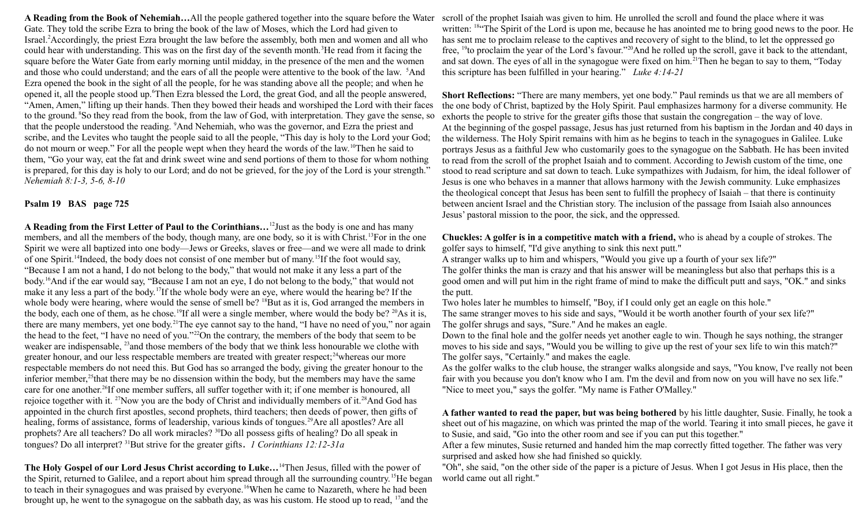A Reading from the Book of Nehemiah...All the people gathered together into the square before the Water scroll of the prophet Isaiah was given to him. He unrolled the scroll and found the place where it was Gate. They told the scribe Ezra to bring the book of the law of Moses, which the Lord had given to Israel.<sup>2</sup>Accordingly, the priest Ezra brought the law before the assembly, both men and women and all who could hear with understanding. This was on the first day of the seventh month.<sup>3</sup>He read from it facing the square before the Water Gate from early morning until midday, in the presence of the men and the women and those who could understand; and the ears of all the people were attentive to the book of the law. <sup>5</sup>And Ezra opened the book in the sight of all the people, for he was standing above all the people; and when he opened it, all the people stood up.<sup>6</sup>Then Ezra blessed the Lord, the great God, and all the people answered, "Amen, Amen," lifting up their hands. Then they bowed their heads and worshiped the Lord with their faces to the ground.<sup>8</sup>So they read from the book, from the law of God, with interpretation. They gave the sense, so that the people understood the reading. <sup>9</sup>And Nehemiah, who was the governor, and Ezra the priest and scribe, and the Levites who taught the people said to all the people, "This day is holy to the Lord your God; do not mourn or weep." For all the people wept when they heard the words of the law.<sup>10</sup>Then he said to them, "Go your way, eat the fat and drink sweet wine and send portions of them to those for whom nothing is prepared, for this day is holy to our Lord; and do not be grieved, for the joy of the Lord is your strength." *Nehemiah 8:1-3, 5-6, 8-10*

## **Psalm 19 BAS page 725**

**A Reading from the First Letter of Paul to the Corinthians…**<sup>12</sup>Just as the body is one and has many members, and all the members of the body, though many, are one body, so it is with Christ.<sup>13</sup>For in the one Spirit we were all baptized into one body—Jews or Greeks, slaves or free—and we were all made to drink of one Spirit.<sup>14</sup>Indeed, the body does not consist of one member but of many.<sup>15</sup>If the foot would say, "Because I am not a hand, I do not belong to the body," that would not make it any less a part of the body.<sup>16</sup>And if the ear would say, "Because I am not an eye, I do not belong to the body," that would not make it any less a part of the body.<sup>17</sup>If the whole body were an eye, where would the hearing be? If the whole body were hearing, where would the sense of smell be?  $18$ But as it is, God arranged the members in the body, each one of them, as he chose.<sup>19</sup>If all were a single member, where would the body be? <sup>20</sup>As it is, there are many members, yet one body.<sup>21</sup>The eye cannot say to the hand, "I have no need of you," nor again the head to the feet, "I have no need of you."<sup>22</sup>On the contrary, the members of the body that seem to be weaker are indispensable, <sup>23</sup> and those members of the body that we think less honourable we clothe with greater honour, and our less respectable members are treated with greater respect;<sup>24</sup>whereas our more respectable members do not need this. But God has so arranged the body, giving the greater honour to the inferior member,<sup>25</sup>that there may be no dissension within the body, but the members may have the same care for one another.<sup>26</sup>If one member suffers, all suffer together with it; if one member is honoured, all rejoice together with it. <sup>27</sup>Now you are the body of Christ and individually members of it.<sup>28</sup>And God has appointed in the church first apostles, second prophets, third teachers; then deeds of power, then gifts of healing, forms of assistance, forms of leadership, various kinds of tongues.<sup>29</sup>Are all apostles? Are all prophets? Are all teachers? Do all work miracles? <sup>30</sup>Do all possess gifts of healing? Do all speak in tongues? Do all interpret? <sup>31</sup>But strive for the greater gifts. *1 Corinthians 12:12-31a* 

**The Holy Gospel of our Lord Jesus Christ according to Luke…**<sup>14</sup>Then Jesus, filled with the power of the Spirit, returned to Galilee, and a report about him spread through all the surrounding country.<sup>15</sup>He began to teach in their synagogues and was praised by everyone.<sup>16</sup>When he came to Nazareth, where he had been brought up, he went to the synagogue on the sabbath day, as was his custom. He stood up to read, <sup>17</sup>and the

written: <sup>18"</sup>The Spirit of the Lord is upon me, because he has anointed me to bring good news to the poor. He has sent me to proclaim release to the captives and recovery of sight to the blind, to let the oppressed go free, <sup>19</sup>to proclaim the year of the Lord's favour."<sup>20</sup>And he rolled up the scroll, gave it back to the attendant, and sat down. The eyes of all in the synagogue were fixed on him.<sup>21</sup>Then he began to say to them, "Today" this scripture has been fulfilled in your hearing." *Luke 4:14-21* 

**Short Reflections:** "There are many members, yet one body." Paul reminds us that we are all members of the one body of Christ, baptized by the Holy Spirit. Paul emphasizes harmony for a diverse community. He exhorts the people to strive for the greater gifts those that sustain the congregation – the way of love. At the beginning of the gospel passage, Jesus has just returned from his baptism in the Jordan and 40 days in the wilderness. The Holy Spirit remains with him as he begins to teach in the synagogues in Galilee. Luke portrays Jesus as a faithful Jew who customarily goes to the synagogue on the Sabbath. He has been invited to read from the scroll of the prophet Isaiah and to comment. According to Jewish custom of the time, one stood to read scripture and sat down to teach. Luke sympathizes with Judaism, for him, the ideal follower of Jesus is one who behaves in a manner that allows harmony with the Jewish community. Luke emphasizes the theological concept that Jesus has been sent to fulfill the prophecy of Isaiah – that there is continuity between ancient Israel and the Christian story. The inclusion of the passage from Isaiah also announces Jesus' pastoral mission to the poor, the sick, and the oppressed.

**Chuckles: A golfer is in a competitive match with a friend,** who is ahead by a couple of strokes. The golfer says to himself, "I'd give anything to sink this next putt."

A stranger walks up to him and whispers, "Would you give up a fourth of your sex life?"

The golfer thinks the man is crazy and that his answer will be meaningless but also that perhaps this is a good omen and will put him in the right frame of mind to make the difficult putt and says, "OK." and sinks the putt.

Two holes later he mumbles to himself, "Boy, if I could only get an eagle on this hole."

The same stranger moves to his side and says, "Would it be worth another fourth of your sex life?" The golfer shrugs and says, "Sure." And he makes an eagle.

Down to the final hole and the golfer needs yet another eagle to win. Though he says nothing, the stranger moves to his side and says, "Would you be willing to give up the rest of your sex life to win this match?" The golfer says, "Certainly." and makes the eagle.

As the golfer walks to the club house, the stranger walks alongside and says, "You know, I've really not been fair with you because you don't know who I am. I'm the devil and from now on you will have no sex life." "Nice to meet you," says the golfer. "My name is Father O'Malley."

**A father wanted to read the paper, but was being bothered** by his little daughter, Susie. Finally, he took a sheet out of his magazine, on which was printed the map of the world. Tearing it into small pieces, he gave it to Susie, and said, "Go into the other room and see if you can put this together."

After a few minutes, Susie returned and handed him the map correctly fitted together. The father was very surprised and asked how she had finished so quickly.

"Oh", she said, "on the other side of the paper is a picture of Jesus. When I got Jesus in His place, then the world came out all right."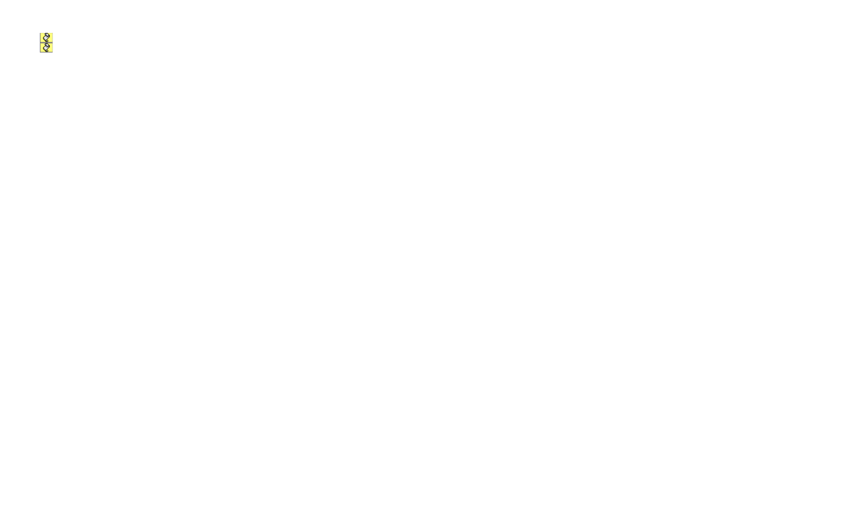$\frac{Q}{Q}$